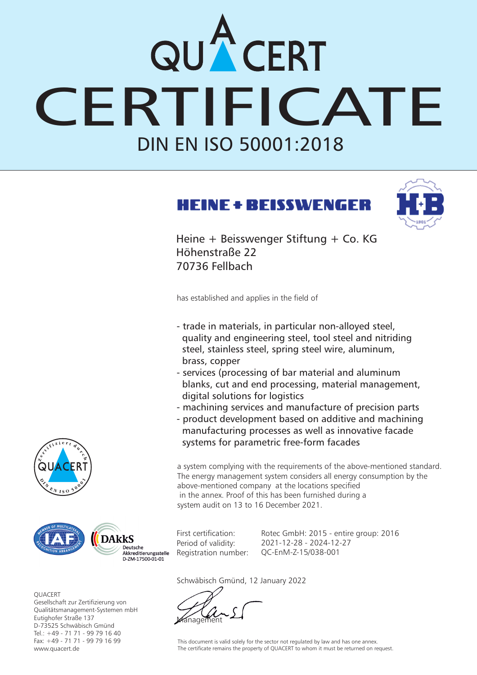## DIN EN ISO 50001:2018 QUACERT<br>CERTIFICATE

## **HEINE + BEISSWENGER**



Heine + Beisswenger Stiftung + Co. KG Höhenstraße 22 70736 Fellbach

has established and applies in the field of

- trade in materials, in particular non-alloyed steel, quality and engineering steel, tool steel and nitriding steel, stainless steel, spring steel wire, aluminum, brass, copper
- services (processing of bar material and aluminum blanks, cut and end processing, material management, digital solutions for logistics
- machining services and manufacture of precision parts
- product development based on additive and machining manufacturing processes as well as innovative facade systems for parametric free-form facades

a system complying with the requirements of the above-mentioned standard. The energy management system considers all energy consumption by the above-mentioned company at the locations specified in the annex. Proof of this has been furnished during a system audit on 13 to 16 December 2021.

First certification: Period of validity: Registration number:

Rotec GmbH: 2015 - entire group: 2016 2021-12-28 - 2024-12-27 QC-EnM-Z-15/038-001

Schwäbisch Gmünd, 12 January 2022

**Management** 

This document is valid solely for the sector not regulated by law and has one annex. The certificate remains the property of QUACERT to whom it must be returned on request.





**OUACERT** Gesellschaft zur Zertifizierung von Qualitätsmanagement-Systemen mbH D-73525 Schwäbisch Gmünd Tel.: +49 - 71 71 - 99 79 16 40 Fax: +49 - 71 71 - 99 79 16 99 www.quacert.de Eutighofer Straße 137